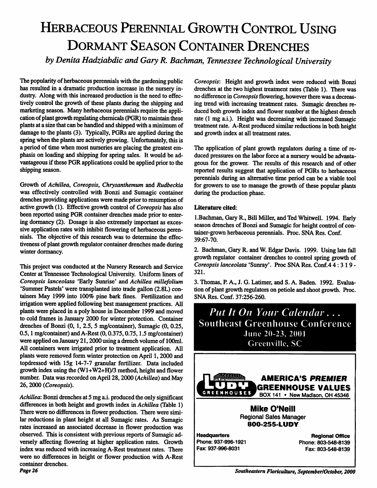## Herbaceous Perennial Growth Control Using Dormant Season Container Drenches

*by Denita Hadziabdic andGary R. Bachman, Tennessee Technological University*

The popularity of herbaceous perennials with the gardening public has resulted in a dramatic production increase in the nursery in dustry. Along with this increased production is the need to effec tively control the growth of these plants during the shipping and marketing season. Many herbaceous perennials require the application of plant growth regulating chemicals (PGR) to maintain these plants at a size that can be handled and shipped with a minimum of damage to the plants (3). Typically, PGRs are applied during the spring when the plants are actively growing. Unfortunately, this is a period of time when most nurseries are placing the greatest em phasis on loading and shipping for spring sales. It would be ad vantageous if these PGR applications could be applied prior to the shipping season.

Growth of **Achillea, Coreopsis, Chrysanthemum** and **Rudbeckia** was effectively controlled with Bonzi and Sumagic container drenches providing applications were made prior to resumption of active growth (1). Effective growth control of **Coreopsis**has also been reported using PGR container drenches made prior to enter ing dormancy (2). Dosage is also extremely important as exces sive application rates with inhibit flowering of herbaceous peren nials. The objective of this research was to determine the effec tiveness of plant growth regulator container drenches made during winter dormancy.

This project was conducted at the Nursery Research and Service Center at Tennessee Technological University. Uniform liners of **Coreopsis lanceolata** 'Early Sunrise\* and **Achillea millefolium** 'Summer Pastels' were transplanted into trade gallon (2.8L) con tainers May 1999 into 100% pine bark fines. Fertilization and irrigation were applied following best management practices. All plants were placed in a poly house in December 1999 and moved to cold frames in January 2000 for winter protection. Container drenches of Bonzi (0, 1, 2.5, 5 mg/container), Sumagic (0, 0.25, 0.5,1 mg/container) and A-Rest (0,0.375,0.75,1.5 mg/container) were applied on January 21,2000 using a drench volume of 100ml. All containers were irrigated prior to treatment application. All plants were removed form winter protection on April 1,2000 and topdressed with 15g 14-7-7 granular fertilizer. Data included growth index using the  $(W1+W2+H)/3$  method, height and flower number. Data was recorded on April 28,2000 **{Achillea)** and May 26,2000 **{Coreopsis).**

**Achillea:** Bonzi drenches at 5 mg a.i. produced the only significant differences in both height and growth index in **Achillea** (Table 1) There were no differences in flower production. There were simi lar reductions in plant height at all Sumagic rates. As Sumagic rates increased an associated decrease in flower production was observed. This is consistent with previous reports of Sumagic ad versely affecting flowering at higher application rates. Growth index was reduced with increasing A-Rest treatment rates. There were no differences in height or flower production with A-Rest container drenches. **Page 26**

**Coreopsis:** Height and growth index were reduced with Bonzi drenches at the two highest treatment rates (Table 1). There was no difference in *Coreopsis* flowering, however there was a decreasing trend with increasing treatment rates. Sumagic drenches reduced both growth index and flower number at the highest drench rate (1 mg a.i.). Height was decreasing with increased Sumagic treatment rate. A-Rest produced similar reductions in both height and growth index at all treatment rates.

The application of plant growth regulators during a time of re duced pressures on the labor force at a nursery would be advantageous for the grower. The results of this research and of other reported results suggest that application of PGRs to herbaceous perennials during an alternative time period can be a viable tool for growers to use to manage the growth of these popular plants during the production phase.

## *Literature cited:*

1. Bachman, Gary R., Bill Miller, and Ted Whitwell. 1994. Early season drenches of Bonzi and Sumagic for height control of con tainer-grown herbaceous perennials. Proc. SNA Res. Conf. 39:67-70.

2. Bachman,Gary R. andW.Edgar Davis. 1999. Using late fall growth regulator container drenches to control spring growth of **Coreopsislanceolata** 'Sunray'. Proc SNA Res. Conf.4 4:319- 321.

3. Thomas, P. A., J. G. Latimer, and S. A. Baden. 1992. Evalua tion of plant growth regulators on petiole and shoot growth. Proc. SNA Res. Conf. 37:256-260.

**Put It On Your Calendar...** Southeast Greenhouse Conference June 20-23, 2001 Greenville, SC



*Regional Sales Manager 800-255-LUDY*

*Headquarters* Phone: 937-996-1921 Fax: 937-996-8031

*Regional Office* Phone: 803-548-8139 Fax: 803-548-8139